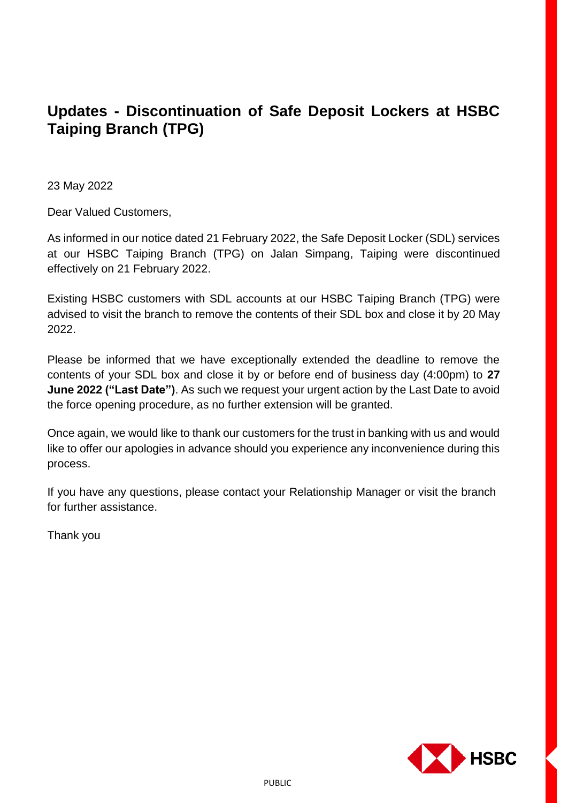## **Updates - Discontinuation of Safe Deposit Lockers at HSBC Taiping Branch (TPG)**

23 May 2022

Dear Valued Customers,

As informed in our notice dated 21 February 2022, the Safe Deposit Locker (SDL) services at our HSBC Taiping Branch (TPG) on Jalan Simpang, Taiping were discontinued effectively on 21 February 2022.

Existing HSBC customers with SDL accounts at our HSBC Taiping Branch (TPG) were advised to visit the branch to remove the contents of their SDL box and close it by 20 May 2022.

Please be informed that we have exceptionally extended the deadline to remove the contents of your SDL box and close it by or before end of business day (4:00pm) to **27 June 2022 ("Last Date")**. As such we request your urgent action by the Last Date to avoid the force opening procedure, as no further extension will be granted.

Once again, we would like to thank our customers for the trust in banking with us and would like to offer our apologies in advance should you experience any inconvenience during this process.

If you have any questions, please contact your Relationship Manager or visit the branch for further assistance.

Thank you

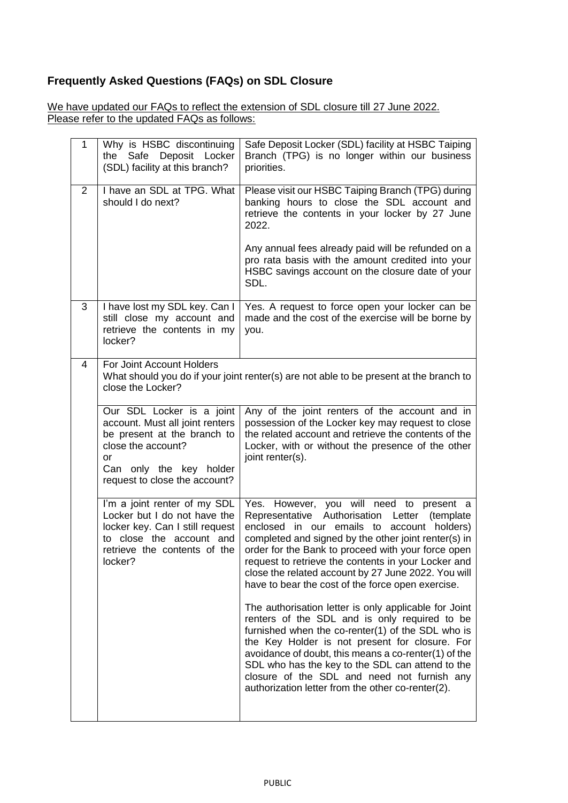## **Frequently Asked Questions (FAQs) on SDL Closure**

We have updated our FAQs to reflect the extension of SDL closure till 27 June 2022. Please refer to the updated FAQs as follows:

| 1 | Why is HSBC discontinuing<br>Safe Deposit Locker<br>the<br>(SDL) facility at this branch?                                                                                           | Safe Deposit Locker (SDL) facility at HSBC Taiping<br>Branch (TPG) is no longer within our business<br>priorities.                                                                                                                                                                                                                                                                                                              |  |  |
|---|-------------------------------------------------------------------------------------------------------------------------------------------------------------------------------------|---------------------------------------------------------------------------------------------------------------------------------------------------------------------------------------------------------------------------------------------------------------------------------------------------------------------------------------------------------------------------------------------------------------------------------|--|--|
| 2 | I have an SDL at TPG. What<br>should I do next?                                                                                                                                     | Please visit our HSBC Taiping Branch (TPG) during<br>banking hours to close the SDL account and<br>retrieve the contents in your locker by 27 June<br>2022.<br>Any annual fees already paid will be refunded on a<br>pro rata basis with the amount credited into your<br>HSBC savings account on the closure date of your                                                                                                      |  |  |
|   |                                                                                                                                                                                     | SDL.                                                                                                                                                                                                                                                                                                                                                                                                                            |  |  |
| 3 | I have lost my SDL key. Can I<br>still close my account and<br>retrieve the contents in my<br>locker?                                                                               | Yes. A request to force open your locker can be<br>made and the cost of the exercise will be borne by<br>you.                                                                                                                                                                                                                                                                                                                   |  |  |
| 4 | For Joint Account Holders<br>close the Locker?                                                                                                                                      | What should you do if your joint renter(s) are not able to be present at the branch to                                                                                                                                                                                                                                                                                                                                          |  |  |
|   | Our SDL Locker is a joint<br>account. Must all joint renters<br>be present at the branch to<br>close the account?<br>or<br>Can only the key holder<br>request to close the account? | Any of the joint renters of the account and in<br>possession of the Locker key may request to close<br>the related account and retrieve the contents of the<br>Locker, with or without the presence of the other<br>joint renter(s).                                                                                                                                                                                            |  |  |
|   | I'm a joint renter of my SDL<br>Locker but I do not have the<br>locker key. Can I still request<br>to close the account and<br>retrieve the contents of the<br>locker?              | Yes. However, you will need to present a<br>Representative Authorisation<br>Letter<br>(template)<br>enclosed in our emails to account holders)<br>completed and signed by the other joint renter(s) in<br>order for the Bank to proceed with your force open<br>request to retrieve the contents in your Locker and<br>close the related account by 27 June 2022. You will<br>have to bear the cost of the force open exercise. |  |  |
|   |                                                                                                                                                                                     | The authorisation letter is only applicable for Joint<br>renters of the SDL and is only required to be<br>furnished when the co-renter(1) of the SDL who is<br>the Key Holder is not present for closure. For<br>avoidance of doubt, this means a co-renter(1) of the<br>SDL who has the key to the SDL can attend to the<br>closure of the SDL and need not furnish any<br>authorization letter from the other co-renter(2).   |  |  |
|   |                                                                                                                                                                                     |                                                                                                                                                                                                                                                                                                                                                                                                                                 |  |  |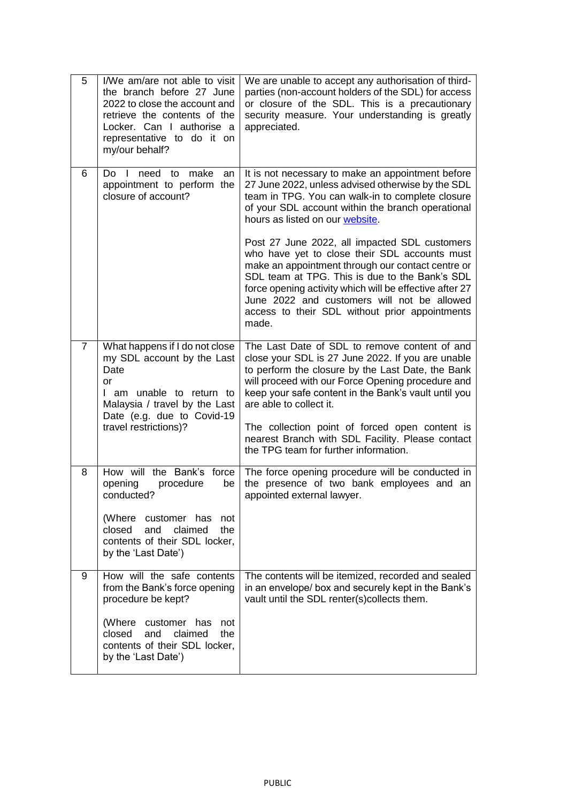| 5              | I/We am/are not able to visit<br>the branch before 27 June<br>2022 to close the account and<br>retrieve the contents of the<br>Locker. Can I authorise a<br>representative to do it on<br>my/our behalf? | We are unable to accept any authorisation of third-<br>parties (non-account holders of the SDL) for access<br>or closure of the SDL. This is a precautionary<br>security measure. Your understanding is greatly<br>appreciated.                                                                                                                                            |
|----------------|----------------------------------------------------------------------------------------------------------------------------------------------------------------------------------------------------------|----------------------------------------------------------------------------------------------------------------------------------------------------------------------------------------------------------------------------------------------------------------------------------------------------------------------------------------------------------------------------|
| 6              | need to make<br>Do I<br>an<br>appointment to perform the<br>closure of account?                                                                                                                          | It is not necessary to make an appointment before<br>27 June 2022, unless advised otherwise by the SDL<br>team in TPG. You can walk-in to complete closure<br>of your SDL account within the branch operational<br>hours as listed on our website.                                                                                                                         |
|                |                                                                                                                                                                                                          | Post 27 June 2022, all impacted SDL customers<br>who have yet to close their SDL accounts must<br>make an appointment through our contact centre or<br>SDL team at TPG. This is due to the Bank's SDL<br>force opening activity which will be effective after 27<br>June 2022 and customers will not be allowed<br>access to their SDL without prior appointments<br>made. |
| $\overline{7}$ | What happens if I do not close<br>my SDL account by the Last<br>Date<br>or<br>I am unable to return to<br>Malaysia / travel by the Last<br>Date (e.g. due to Covid-19                                    | The Last Date of SDL to remove content of and<br>close your SDL is 27 June 2022. If you are unable<br>to perform the closure by the Last Date, the Bank<br>will proceed with our Force Opening procedure and<br>keep your safe content in the Bank's vault until you<br>are able to collect it.                                                                            |
|                | travel restrictions)?                                                                                                                                                                                    | The collection point of forced open content is<br>nearest Branch with SDL Facility. Please contact<br>the TPG team for further information.                                                                                                                                                                                                                                |
| 8              | How will the Bank's force<br>opening<br>procedure<br>be<br>conducted?                                                                                                                                    | The force opening procedure will be conducted in<br>the presence of two bank employees and an<br>appointed external lawyer.                                                                                                                                                                                                                                                |
|                | (Where customer has<br>not<br>closed<br>and<br>claimed<br>the<br>contents of their SDL locker,<br>by the 'Last Date')                                                                                    |                                                                                                                                                                                                                                                                                                                                                                            |
| 9              | How will the safe contents<br>from the Bank's force opening<br>procedure be kept?                                                                                                                        | The contents will be itemized, recorded and sealed<br>in an envelope/ box and securely kept in the Bank's<br>vault until the SDL renter(s)collects them.                                                                                                                                                                                                                   |
|                | (Where customer has<br>not<br>closed<br>and<br>claimed<br>the<br>contents of their SDL locker,<br>by the 'Last Date')                                                                                    |                                                                                                                                                                                                                                                                                                                                                                            |